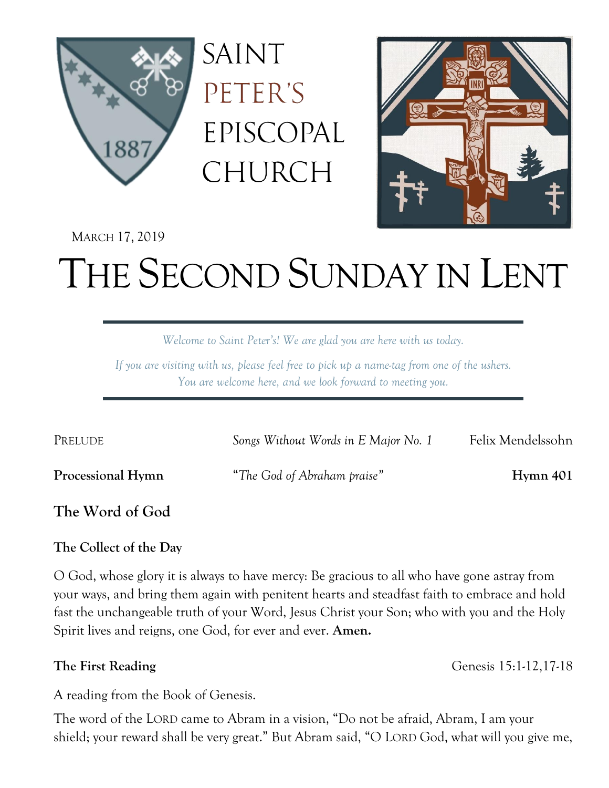



MARCH 17, 2019

# THE SECOND SUNDAY IN LENT

*Welcome to Saint Peter's! We are glad you are here with us today.* 

*If you are visiting with us, please feel free to pick up a name-tag from one of the ushers. You are welcome here, and we look forward to meeting you.*

| Prelude           | Songs Without Words in E Major No. 1 | Felix Mendelssohn |
|-------------------|--------------------------------------|-------------------|
| Processional Hymn | "The God of Abraham praise"          | Hymn 401          |

#### **The Word of God**

#### **The Collect of the Day**

O God, whose glory it is always to have mercy: Be gracious to all who have gone astray from your ways, and bring them again with penitent hearts and steadfast faith to embrace and hold fast the unchangeable truth of your Word, Jesus Christ your Son; who with you and the Holy Spirit lives and reigns, one God, for ever and ever. **Amen.**

**The First Reading** Genesis 15:1-12,17-18

A reading from the Book of Genesis.

The word of the LORD came to Abram in a vision, "Do not be afraid, Abram, I am your shield; your reward shall be very great." But Abram said, "O LORD God, what will you give me,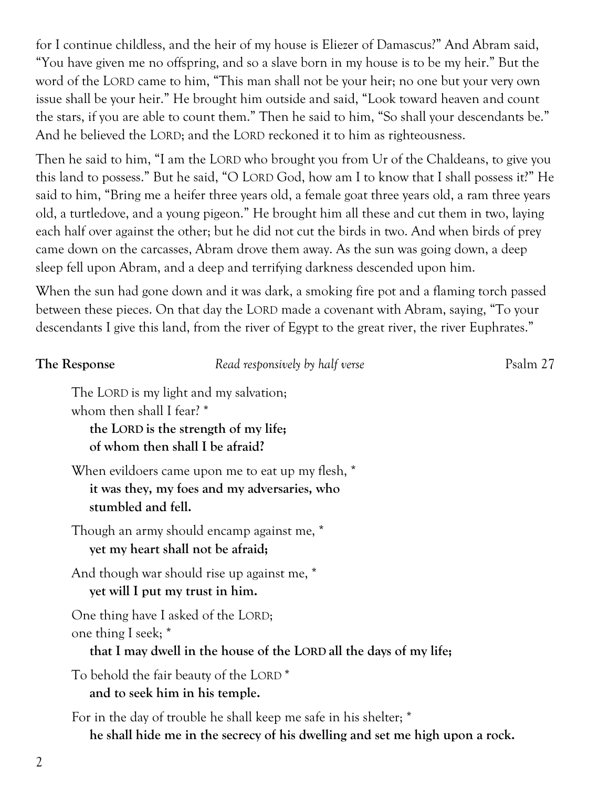for I continue childless, and the heir of my house is Eliezer of Damascus?" And Abram said, "You have given me no offspring, and so a slave born in my house is to be my heir." But the word of the LORD came to him, "This man shall not be your heir; no one but your very own issue shall be your heir." He brought him outside and said, "Look toward heaven and count the stars, if you are able to count them." Then he said to him, "So shall your descendants be." And he believed the LORD; and the LORD reckoned it to him as righteousness.

Then he said to him, "I am the LORD who brought you from Ur of the Chaldeans, to give you this land to possess." But he said, "O LORD God, how am I to know that I shall possess it?" He said to him, "Bring me a heifer three years old, a female goat three years old, a ram three years old, a turtledove, and a young pigeon." He brought him all these and cut them in two, laying each half over against the other; but he did not cut the birds in two. And when birds of prey came down on the carcasses, Abram drove them away. As the sun was going down, a deep sleep fell upon Abram, and a deep and terrifying darkness descended upon him.

When the sun had gone down and it was dark, a smoking fire pot and a flaming torch passed between these pieces. On that day the LORD made a covenant with Abram, saying, "To your descendants I give this land, from the river of Egypt to the great river, the river Euphrates."

| The Response                                                                                                                                   | Read responsively by half verse                                                                                                                   | Psalm 27 |
|------------------------------------------------------------------------------------------------------------------------------------------------|---------------------------------------------------------------------------------------------------------------------------------------------------|----------|
| The LORD is my light and my salvation;<br>whom then shall I fear? *<br>the LORD is the strength of my life;<br>of whom then shall I be afraid? |                                                                                                                                                   |          |
| stumbled and fell.                                                                                                                             | When evildoers came upon me to eat up my flesh, *<br>it was they, my foes and my adversaries, who                                                 |          |
| Though an army should encamp against me, *<br>yet my heart shall not be afraid;                                                                |                                                                                                                                                   |          |
| And though war should rise up against me, *<br>yet will I put my trust in him.                                                                 |                                                                                                                                                   |          |
| One thing have I asked of the LORD;<br>one thing I seek; *                                                                                     | that I may dwell in the house of the LORD all the days of my life;                                                                                |          |
| To behold the fair beauty of the LORD <sup>*</sup><br>and to seek him in his temple.                                                           |                                                                                                                                                   |          |
|                                                                                                                                                | For in the day of trouble he shall keep me safe in his shelter; *<br>he shall hide me in the secrecy of his dwelling and set me high upon a rock. |          |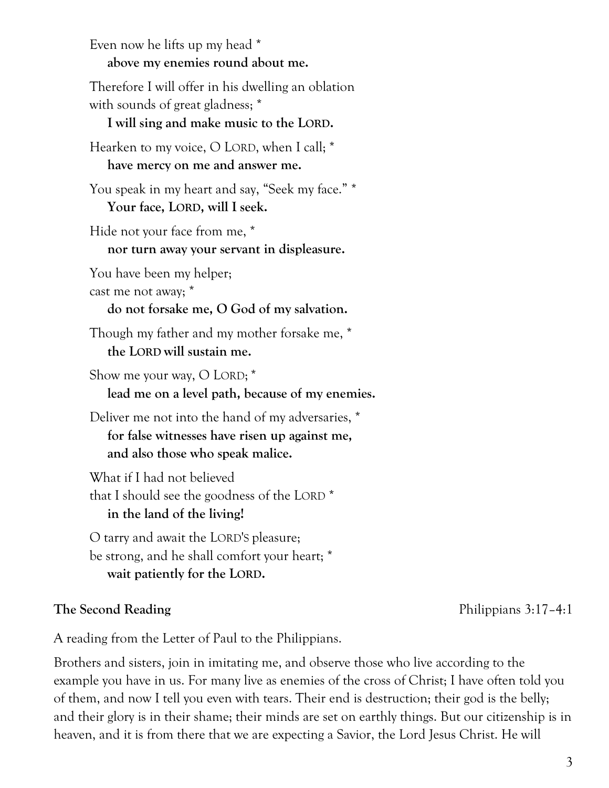Even now he lifts up my head \*

**above my enemies round about me.**

Therefore I will offer in his dwelling an oblation with sounds of great gladness; \*

**I will sing and make music to the LORD.**

Hearken to my voice, O LORD, when I call; \* **have mercy on me and answer me.**

You speak in my heart and say, "Seek my face." \* **Your face, LORD, will I seek.**

Hide not your face from me, \* **nor turn away your servant in displeasure.**

You have been my helper;

cast me not away; \*

**do not forsake me, O God of my salvation.**

Though my father and my mother forsake me, \* **the LORD will sustain me.**

Show me your way, O LORD;\*

**lead me on a level path, because of my enemies.**

Deliver me not into the hand of my adversaries, \* **for false witnesses have risen up against me, and also those who speak malice.**

What if I had not believed that I should see the goodness of the LORD \* **in the land of the living!**

O tarry and await the LORD'S pleasure; be strong, and he shall comfort your heart; \* **wait patiently for the LORD.**

#### **The Second Reading** Philippians 3:17-4:1

A reading from the Letter of Paul to the Philippians.

Brothers and sisters, join in imitating me, and observe those who live according to the example you have in us. For many live as enemies of the cross of Christ; I have often told you of them, and now I tell you even with tears. Their end is destruction; their god is the belly; and their glory is in their shame; their minds are set on earthly things. But our citizenship is in heaven, and it is from there that we are expecting a Savior, the Lord Jesus Christ. He will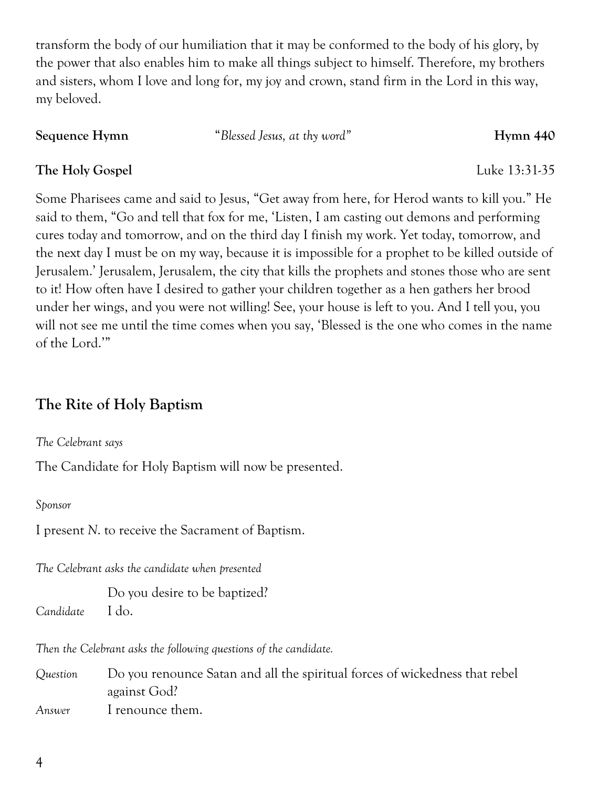transform the body of our humiliation that it may be conformed to the body of his glory, by the power that also enables him to make all things subject to himself. Therefore, my brothers and sisters, whom I love and long for, my joy and crown, stand firm in the Lord in this way, my beloved.

**Sequence Hymn**  $\bullet$  "*Blessed Jesus, at thy word*" Hymn 440

#### **The Holy Gospel** Luke 13:31-35

Some Pharisees came and said to Jesus, "Get away from here, for Herod wants to kill you." He said to them, "Go and tell that fox for me, 'Listen, I am casting out demons and performing cures today and tomorrow, and on the third day I finish my work. Yet today, tomorrow, and the next day I must be on my way, because it is impossible for a prophet to be killed outside of Jerusalem.' Jerusalem, Jerusalem, the city that kills the prophets and stones those who are sent to it! How often have I desired to gather your children together as a hen gathers her brood under her wings, and you were not willing! See, your house is left to you. And I tell you, you will not see me until the time comes when you say, 'Blessed is the one who comes in the name of the Lord.'"

#### **The Rite of Holy Baptism**

*The Celebrant says*

The Candidate for Holy Baptism will now be presented.

*Sponsor*

I present *N*. to receive the Sacrament of Baptism.

*The Celebrant asks the candidate when presented*

Do you desire to be baptized? *Candidate* I do.

*Then the Celebrant asks the following questions of the candidate.* 

*Question* Do you renounce Satan and all the spiritual forces of wickedness that rebel against God? *Answer* I renounce them.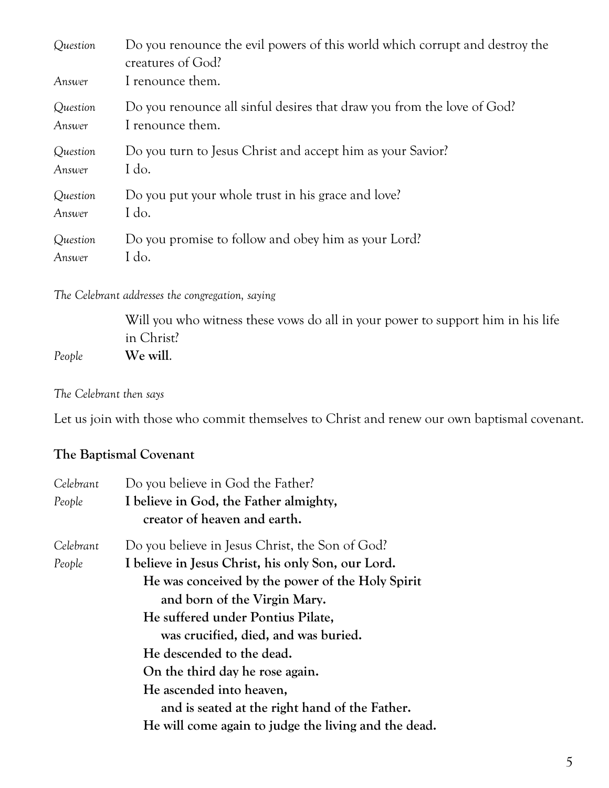| Question | Do you renounce the evil powers of this world which corrupt and destroy the<br>creatures of God? |
|----------|--------------------------------------------------------------------------------------------------|
| Answer   | I renounce them.                                                                                 |
| Question | Do you renounce all sinful desires that draw you from the love of God?                           |
| Answer   | I renounce them.                                                                                 |
| Question | Do you turn to Jesus Christ and accept him as your Savior?                                       |
| Answer   | I do.                                                                                            |
| Question | Do you put your whole trust in his grace and love?                                               |
| Answer   | I do.                                                                                            |
| Question | Do you promise to follow and obey him as your Lord?                                              |
| Answer   | I do.                                                                                            |

*The Celebrant addresses the congregation, saying*

Will you who witness these vows do all in your power to support him in his life in Christ? *People* **We will**.

*The Celebrant then says*

Let us join with those who commit themselves to Christ and renew our own baptismal covenant.

#### **The Baptismal Covenant**

| Celebrant | Do you believe in God the Father?                    |  |
|-----------|------------------------------------------------------|--|
| People    | I believe in God, the Father almighty,               |  |
|           | creator of heaven and earth.                         |  |
| Celebrant | Do you believe in Jesus Christ, the Son of God?      |  |
| People    | I believe in Jesus Christ, his only Son, our Lord.   |  |
|           | He was conceived by the power of the Holy Spirit     |  |
|           | and born of the Virgin Mary.                         |  |
|           | He suffered under Pontius Pilate,                    |  |
|           | was crucified, died, and was buried.                 |  |
|           | He descended to the dead.                            |  |
|           | On the third day he rose again.                      |  |
|           | He ascended into heaven,                             |  |
|           | and is seated at the right hand of the Father.       |  |
|           | He will come again to judge the living and the dead. |  |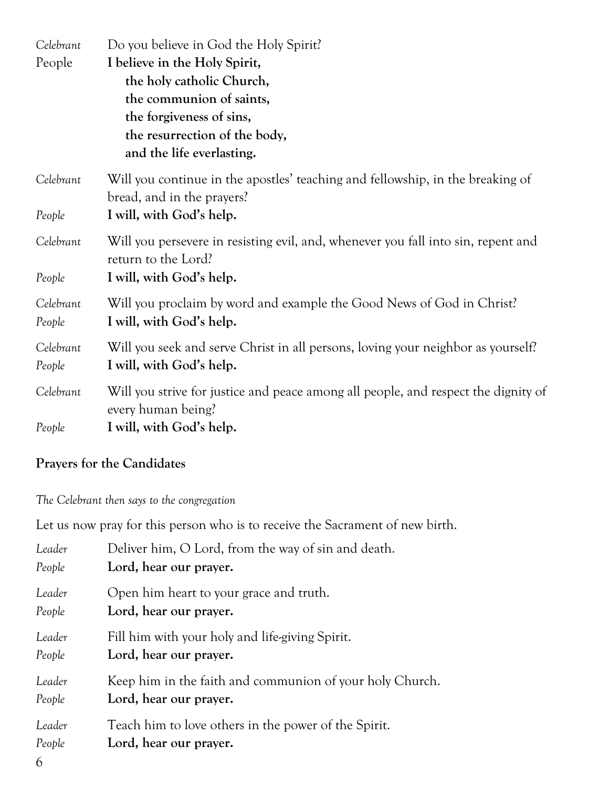| Celebrant           | Do you believe in God the Holy Spirit?                                                                       |
|---------------------|--------------------------------------------------------------------------------------------------------------|
| People              | I believe in the Holy Spirit,                                                                                |
|                     | the holy catholic Church,                                                                                    |
|                     | the communion of saints,                                                                                     |
|                     | the forgiveness of sins,                                                                                     |
|                     | the resurrection of the body,                                                                                |
|                     | and the life everlasting.                                                                                    |
| Celebrant           | Will you continue in the apostles' teaching and fellowship, in the breaking of<br>bread, and in the prayers? |
| People              | I will, with God's help.                                                                                     |
| Celebrant           | Will you persevere in resisting evil, and, whenever you fall into sin, repent and<br>return to the Lord?     |
| People              | I will, with God's help.                                                                                     |
| Celebrant<br>People | Will you proclaim by word and example the Good News of God in Christ?<br>I will, with God's help.            |
| Celebrant<br>People | Will you seek and serve Christ in all persons, loving your neighbor as yourself?<br>I will, with God's help. |
| Celebrant           | Will you strive for justice and peace among all people, and respect the dignity of<br>every human being?     |
| People              | I will, with God's help.                                                                                     |

#### **Prayers for the Candidates**

*The Celebrant then says to the congregation*

Let us now pray for this person who is to receive the Sacrament of new birth.

| Leader                | Deliver him, O Lord, from the way of sin and death.                            |
|-----------------------|--------------------------------------------------------------------------------|
| People                | Lord, hear our prayer.                                                         |
| Leader                | Open him heart to your grace and truth.                                        |
| People                | Lord, hear our prayer.                                                         |
| Leader                | Fill him with your holy and life-giving Spirit.                                |
| People                | Lord, hear our prayer.                                                         |
| Leader                | Keep him in the faith and communion of your holy Church.                       |
| People                | Lord, hear our prayer.                                                         |
| Leader<br>People<br>6 | Teach him to love others in the power of the Spirit.<br>Lord, hear our prayer. |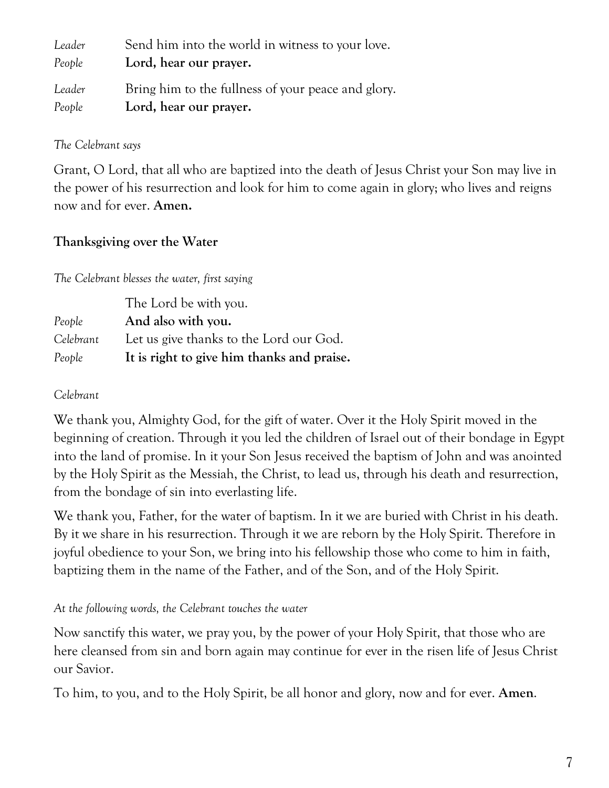| Leader | Send him into the world in witness to your love.   |
|--------|----------------------------------------------------|
| People | Lord, hear our prayer.                             |
| Leader | Bring him to the fullness of your peace and glory. |
| People | Lord, hear our prayer.                             |

#### *The Celebrant says*

Grant, O Lord, that all who are baptized into the death of Jesus Christ your Son may live in the power of his resurrection and look for him to come again in glory; who lives and reigns now and for ever. **Amen.**

#### **Thanksgiving over the Water**

*The Celebrant blesses the water, first saying*

|           | The Lord be with you.                      |
|-----------|--------------------------------------------|
| People    | And also with you.                         |
| Celebrant | Let us give thanks to the Lord our God.    |
| People    | It is right to give him thanks and praise. |

#### *Celebrant*

We thank you, Almighty God, for the gift of water. Over it the Holy Spirit moved in the beginning of creation. Through it you led the children of Israel out of their bondage in Egypt into the land of promise. In it your Son Jesus received the baptism of John and was anointed by the Holy Spirit as the Messiah, the Christ, to lead us, through his death and resurrection, from the bondage of sin into everlasting life.

We thank you, Father, for the water of baptism. In it we are buried with Christ in his death. By it we share in his resurrection. Through it we are reborn by the Holy Spirit. Therefore in joyful obedience to your Son, we bring into his fellowship those who come to him in faith, baptizing them in the name of the Father, and of the Son, and of the Holy Spirit.

*At the following words, the Celebrant touches the water*

Now sanctify this water, we pray you, by the power of your Holy Spirit, that those who are here cleansed from sin and born again may continue for ever in the risen life of Jesus Christ our Savior.

To him, to you, and to the Holy Spirit, be all honor and glory, now and for ever. **Amen**.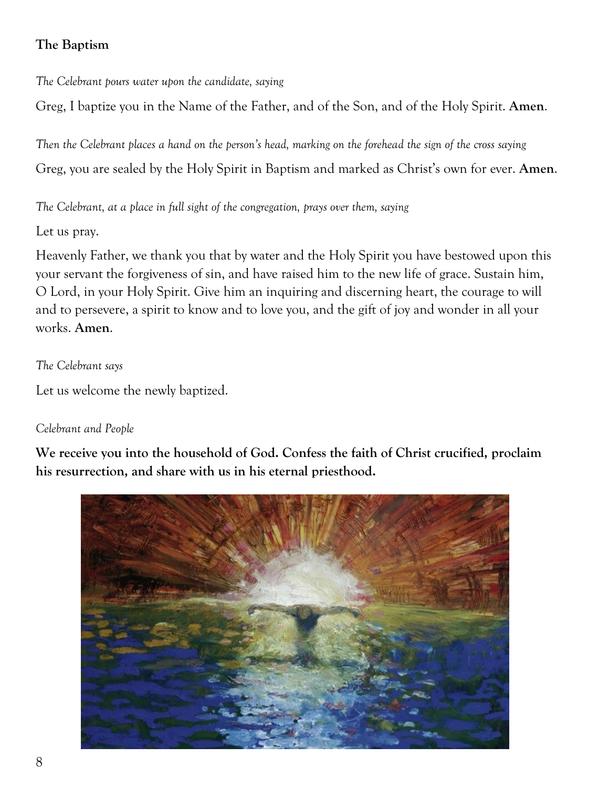#### **The Baptism**

*The Celebrant pours water upon the candidate, saying*

Greg, I baptize you in the Name of the Father, and of the Son, and of the Holy Spirit. **Amen**.

*Then the Celebrant places a hand on the person's head, marking on the forehead the sign of the cross saying* Greg, you are sealed by the Holy Spirit in Baptism and marked as Christ's own for ever. **Amen**.

*The Celebrant, at a place in full sight of the congregation, prays over them, saying*

Let us pray.

Heavenly Father, we thank you that by water and the Holy Spirit you have bestowed upon this your servant the forgiveness of sin, and have raised him to the new life of grace. Sustain him, O Lord, in your Holy Spirit. Give him an inquiring and discerning heart, the courage to will and to persevere, a spirit to know and to love you, and the gift of joy and wonder in all your works. **Amen**.

*The Celebrant says*

Let us welcome the newly baptized.

#### *Celebrant and People*

**We receive you into the household of God. Confess the faith of Christ crucified, proclaim his resurrection, and share with us in his eternal priesthood.**

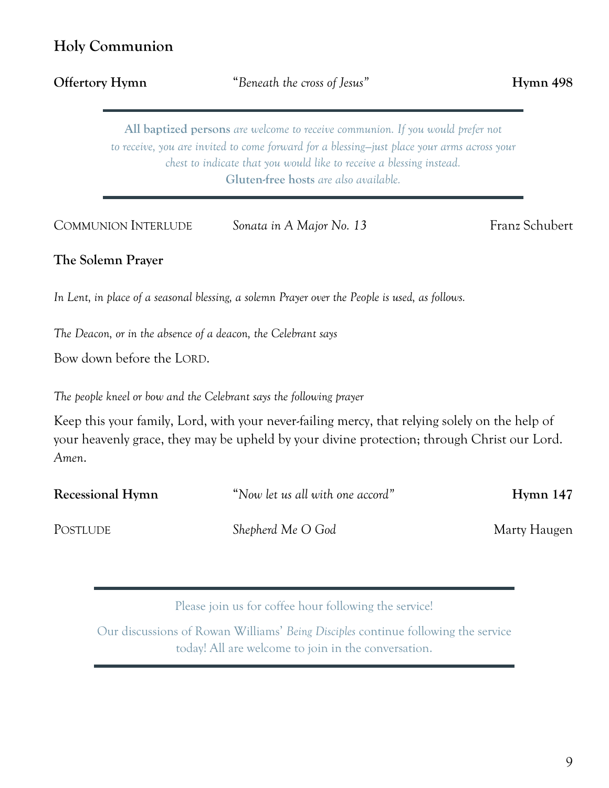| <b>Offertory Hymn</b>                                               | "Beneath the cross of Jesus"                                                                                                                                                                                                                                                                   | Hymn 498       |
|---------------------------------------------------------------------|------------------------------------------------------------------------------------------------------------------------------------------------------------------------------------------------------------------------------------------------------------------------------------------------|----------------|
|                                                                     | All baptized persons are welcome to receive communion. If you would prefer not<br>to receive, you are invited to come forward for a blessing-just place your arms across your<br>chest to indicate that you would like to receive a blessing instead.<br>Gluten-free hosts are also available. |                |
| <b>COMMUNION INTERLUDE</b>                                          | Sonata in A Major No. 13                                                                                                                                                                                                                                                                       | Franz Schubert |
| The Solemn Prayer                                                   |                                                                                                                                                                                                                                                                                                |                |
|                                                                     | In Lent, in place of a seasonal blessing, a solemn Prayer over the People is used, as follows.                                                                                                                                                                                                 |                |
| The Deacon, or in the absence of a deacon, the Celebrant says       |                                                                                                                                                                                                                                                                                                |                |
| Bow down before the LORD.                                           |                                                                                                                                                                                                                                                                                                |                |
| The people kneel or bow and the Celebrant says the following prayer |                                                                                                                                                                                                                                                                                                |                |
| Amen.                                                               | Keep this your family, Lord, with your never-failing mercy, that relying solely on the help of<br>your heavenly grace, they may be upheld by your divine protection; through Christ our Lord.                                                                                                  |                |
| Recessional Hymn                                                    | "Now let us all with one accord"                                                                                                                                                                                                                                                               | Hymn 147       |
| <b>POSTLUDE</b>                                                     | Shepherd Me O God                                                                                                                                                                                                                                                                              | Marty Haugen   |
|                                                                     |                                                                                                                                                                                                                                                                                                |                |

Please join us for coffee hour following the service!

Our discussions of Rowan Williams' *Being Disciples* continue following the service today! All are welcome to join in the conversation.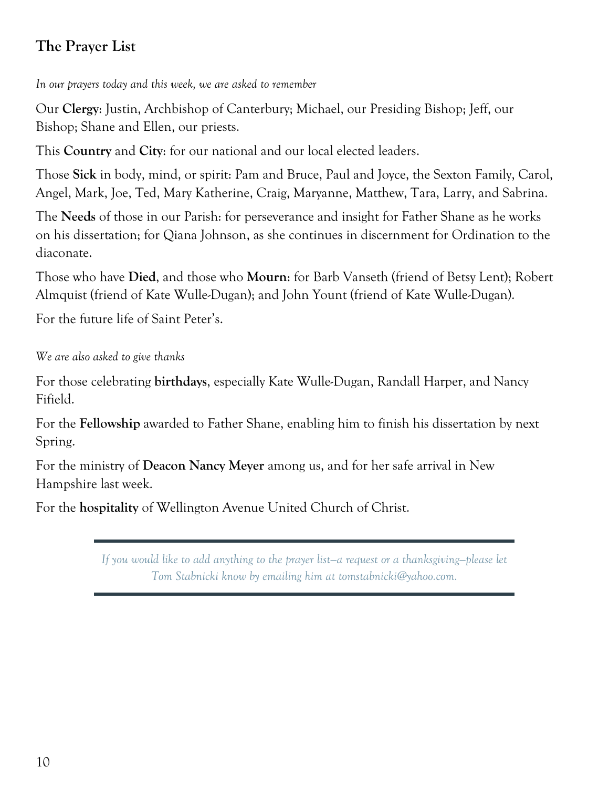#### **The Prayer List**

*In our prayers today and this week, we are asked to remember*

Our **Clergy**: Justin, Archbishop of Canterbury; Michael, our Presiding Bishop; Jeff, our Bishop; Shane and Ellen, our priests.

This **Country** and **City**: for our national and our local elected leaders.

Those **Sick** in body, mind, or spirit: Pam and Bruce, Paul and Joyce, the Sexton Family, Carol, Angel, Mark, Joe, Ted, Mary Katherine, Craig, Maryanne, Matthew, Tara, Larry, and Sabrina.

The **Needs** of those in our Parish: for perseverance and insight for Father Shane as he works on his dissertation; for Qiana Johnson, as she continues in discernment for Ordination to the diaconate.

Those who have **Died**, and those who **Mourn**: for Barb Vanseth (friend of Betsy Lent); Robert Almquist (friend of Kate Wulle-Dugan); and John Yount (friend of Kate Wulle-Dugan).

For the future life of Saint Peter's.

*We are also asked to give thanks* 

For those celebrating **birthdays**, especially Kate Wulle-Dugan, Randall Harper, and Nancy Fifield.

For the **Fellowship** awarded to Father Shane, enabling him to finish his dissertation by next Spring.

For the ministry of **Deacon Nancy Meyer** among us, and for her safe arrival in New Hampshire last week.

For the **hospitality** of Wellington Avenue United Church of Christ.

*If you would like to add anything to the prayer list–a request or a thanksgiving–please let Tom Stabnicki know by emailing him at tomstabnicki@yahoo.com.*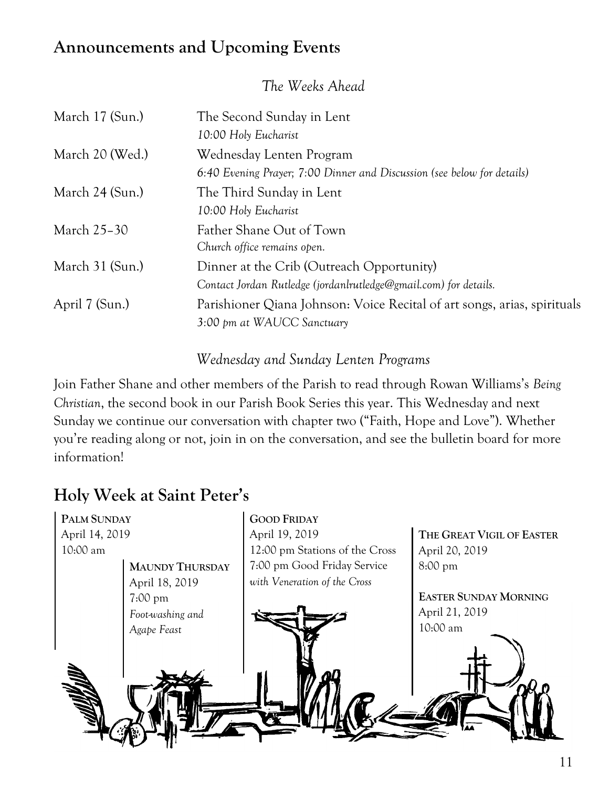### **Announcements and Upcoming Events**

### March 17 (Sun.) The Second Sunday in Lent *10:00 Holy Eucharist* March 20 (Wed.) Wednesday Lenten Program *6:40 Evening Prayer; 7:00 Dinner and Discussion (see below for details)* March 24 (Sun.) The Third Sunday in Lent *10:00 Holy Eucharist* March 25–30 Father Shane Out of Town *Church office remains open.*  March 31 (Sun.) Dinner at the Crib (Outreach Opportunity) *Contact Jordan Rutledge (jordanlrutledge@gmail.com) for details.*  April 7 (Sun.) Parishioner Qiana Johnson: Voice Recital of art songs, arias, spirituals *3:00 pm at WAUCC Sanctuary*

#### *The Weeks Ahead*

#### *Wednesday and Sunday Lenten Programs*

Join Father Shane and other members of the Parish to read through Rowan Williams's *Being Christian*, the second book in our Parish Book Series this year. This Wednesday and next Sunday we continue our conversation with chapter two ("Faith, Hope and Love"). Whether you're reading along or not, join in on the conversation, and see the bulletin board for more information!

### **Holy Week at Saint Peter's**